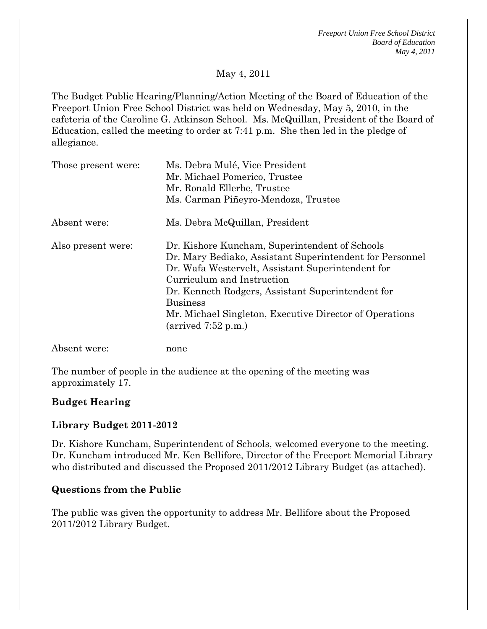*Freeport Union Free School District Board of Education May 4, 2011* 

## May 4, 2011

The Budget Public Hearing/Planning/Action Meeting of the Board of Education of the Freeport Union Free School District was held on Wednesday, May 5, 2010, in the cafeteria of the Caroline G. Atkinson School. Ms. McQuillan, President of the Board of Education, called the meeting to order at 7:41 p.m. She then led in the pledge of allegiance.

| Those present were: | Ms. Debra Mulé, Vice President<br>Mr. Michael Pomerico, Trustee<br>Mr. Ronald Ellerbe, Trustee<br>Ms. Carman Piñeyro-Mendoza, Trustee                                                                                                                                                                                                                                     |
|---------------------|---------------------------------------------------------------------------------------------------------------------------------------------------------------------------------------------------------------------------------------------------------------------------------------------------------------------------------------------------------------------------|
| Absent were:        | Ms. Debra McQuillan, President                                                                                                                                                                                                                                                                                                                                            |
| Also present were:  | Dr. Kishore Kuncham, Superintendent of Schools<br>Dr. Mary Bediako, Assistant Superintendent for Personnel<br>Dr. Wafa Westervelt, Assistant Superintendent for<br>Curriculum and Instruction<br>Dr. Kenneth Rodgers, Assistant Superintendent for<br><b>Business</b><br>Mr. Michael Singleton, Executive Director of Operations<br>$\text{(arrived } 7:52 \text{ p.m.})$ |
| Absent were:        | none                                                                                                                                                                                                                                                                                                                                                                      |

The number of people in the audience at the opening of the meeting was approximately 17.

### **Budget Hearing**

### **Library Budget 2011-2012**

Dr. Kishore Kuncham, Superintendent of Schools, welcomed everyone to the meeting. Dr. Kuncham introduced Mr. Ken Bellifore, Director of the Freeport Memorial Library who distributed and discussed the Proposed 2011/2012 Library Budget (as attached).

#### **Questions from the Public**

The public was given the opportunity to address Mr. Bellifore about the Proposed 2011/2012 Library Budget.